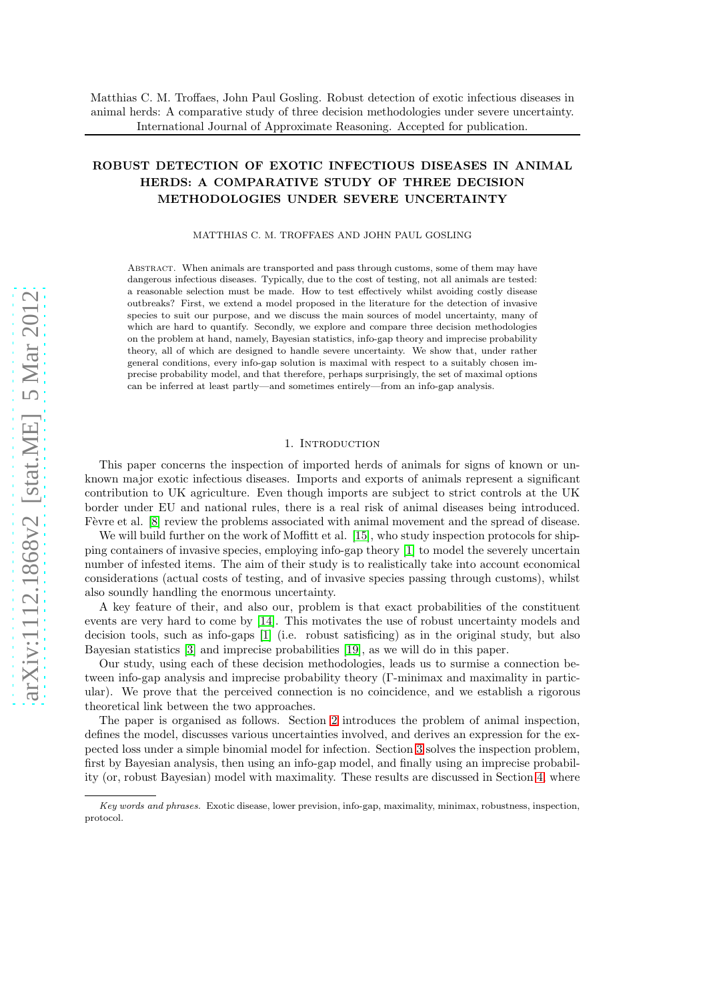# ROBUST DETECTION OF EXOTIC INFECTIOUS DISEASES IN ANIMAL HERDS: A COMPARATIVE STUDY OF THREE DECISION METHODOLOGIES UNDER SEVERE UNCERTAINTY

MATTHIAS C. M. TROFFAES AND JOHN PAUL GOSLING

ABSTRACT. When animals are transported and pass through customs, some of them may have dangerous infectious diseases. Typically, due to the cost of testing, not all animals are tested: a reasonable selection must be made. How to test effectively whilst avoiding costly disease outbreaks? First, we extend a model proposed in the literature for the detection of invasive species to suit our purpose, and we discuss the main sources of model uncertainty, many of which are hard to quantify. Secondly, we explore and compare three decision methodologies on the problem at hand, namely, Bayesian statistics, info-gap theory and imprecise probability theory, all of which are designed to handle severe uncertainty. We show that, under rather general conditions, every info-gap solution is maximal with respect to a suitably chosen imprecise probability model, and that therefore, perhaps surprisingly, the set of maximal options can be inferred at least partly—and sometimes entirely—from an info-gap analysis.

### 1. INTRODUCTION

This paper concerns the inspection of imported herds of animals for signs of known or unknown major exotic infectious diseases. Imports and exports of animals represent a significant contribution to UK agriculture. Even though imports are subject to strict controls at the UK border under EU and national rules, there is a real risk of animal diseases being introduced. Fèvre et al. [\[8\]](#page-13-0) review the problems associated with animal movement and the spread of disease.

We will build further on the work of Moffitt et al. [\[15\]](#page-14-0), who study inspection protocols for shipping containers of invasive species, employing info-gap theory [\[1\]](#page-13-1) to model the severely uncertain number of infested items. The aim of their study is to realistically take into account economical considerations (actual costs of testing, and of invasive species passing through customs), whilst also soundly handling the enormous uncertainty.

A key feature of their, and also our, problem is that exact probabilities of the constituent events are very hard to come by [\[14\]](#page-14-1). This motivates the use of robust uncertainty models and decision tools, such as info-gaps [\[1\]](#page-13-1) (i.e. robust satisficing) as in the original study, but also Bayesian statistics [\[3\]](#page-13-2) and imprecise probabilities [\[19\]](#page-14-2), as we will do in this paper.

Our study, using each of these decision methodologies, leads us to surmise a connection between info-gap analysis and imprecise probability theory (Γ-minimax and maximality in particular). We prove that the perceived connection is no coincidence, and we establish a rigorous theoretical link between the two approaches.

The paper is organised as follows. Section [2](#page-1-0) introduces the problem of animal inspection, defines the model, discusses various uncertainties involved, and derives an expression for the expected loss under a simple binomial model for infection. Section [3](#page-4-0) solves the inspection problem, first by Bayesian analysis, then using an info-gap model, and finally using an imprecise probability (or, robust Bayesian) model with maximality. These results are discussed in Section [4,](#page-9-0) where

*Key words and phrases.* Exotic disease, lower prevision, info-gap, maximality, minimax, robustness, inspection, protocol.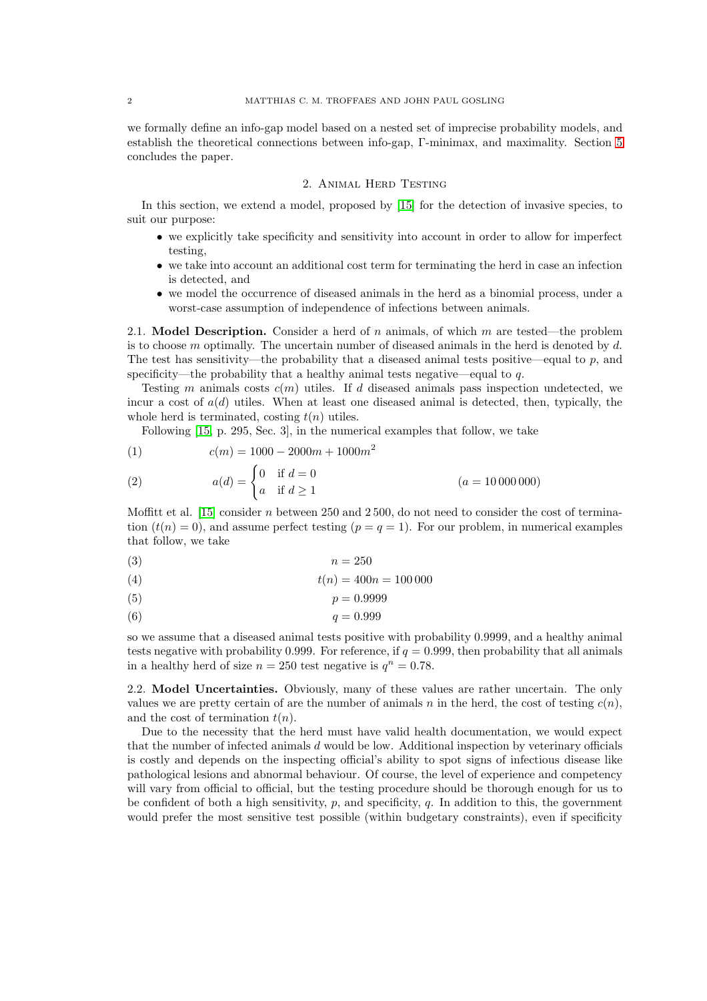we formally define an info-gap model based on a nested set of imprecise probability models, and establish the theoretical connections between info-gap, Γ-minimax, and maximality. Section [5](#page-13-3) concludes the paper.

#### 2. Animal Herd Testing

<span id="page-1-0"></span>In this section, we extend a model, proposed by [\[15\]](#page-14-0) for the detection of invasive species, to suit our purpose:

- we explicitly take specificity and sensitivity into account in order to allow for imperfect testing,
- we take into account an additional cost term for terminating the herd in case an infection is detected, and
- we model the occurrence of diseased animals in the herd as a binomial process, under a worst-case assumption of independence of infections between animals.

2.1. Model Description. Consider a herd of  $n$  animals, of which  $m$  are tested—the problem is to choose m optimally. The uncertain number of diseased animals in the herd is denoted by  $d$ . The test has sensitivity—the probability that a diseased animal tests positive—equal to p, and specificity—the probability that a healthy animal tests negative—equal to  $q$ .

Testing m animals costs  $c(m)$  utiles. If d diseased animals pass inspection undetected, we incur a cost of  $a(d)$  utiles. When at least one diseased animal is detected, then, typically, the whole herd is terminated, costing  $t(n)$  utiles.

Following [\[15,](#page-14-0) p. 295, Sec. 3], in the numerical examples that follow, we take

$$
(1) \t\t\t c(m) = 1000 - 2000m + 1000m^2
$$

(2) 
$$
a(d) = \begin{cases} 0 & \text{if } d = 0 \\ a & \text{if } d \ge 1 \end{cases}
$$
  $(a = 10000000)$ 

Moffitt et al. [\[15\]](#page-14-0) consider n between 250 and  $2500$ , do not need to consider the cost of termination  $(t(n) = 0)$ , and assume perfect testing  $(p = q = 1)$ . For our problem, in numerical examples that follow, we take

$$
(3) \t\t n = 250
$$

$$
(4) \t t(n) = 400n = 100000
$$

$$
(5) \t\t\t p = 0.9999
$$

$$
(6) \t\t q = 0.999
$$

so we assume that a diseased animal tests positive with probability 0.9999, and a healthy animal tests negative with probability 0.999. For reference, if  $q = 0.999$ , then probability that all animals in a healthy herd of size  $n = 250$  test negative is  $q^n = 0.78$ .

2.2. Model Uncertainties. Obviously, many of these values are rather uncertain. The only values we are pretty certain of are the number of animals n in the herd, the cost of testing  $c(n)$ , and the cost of termination  $t(n)$ .

Due to the necessity that the herd must have valid health documentation, we would expect that the number of infected animals  $d$  would be low. Additional inspection by veterinary officials is costly and depends on the inspecting official's ability to spot signs of infectious disease like pathological lesions and abnormal behaviour. Of course, the level of experience and competency will vary from official to official, but the testing procedure should be thorough enough for us to be confident of both a high sensitivity,  $p$ , and specificity,  $q$ . In addition to this, the government would prefer the most sensitive test possible (within budgetary constraints), even if specificity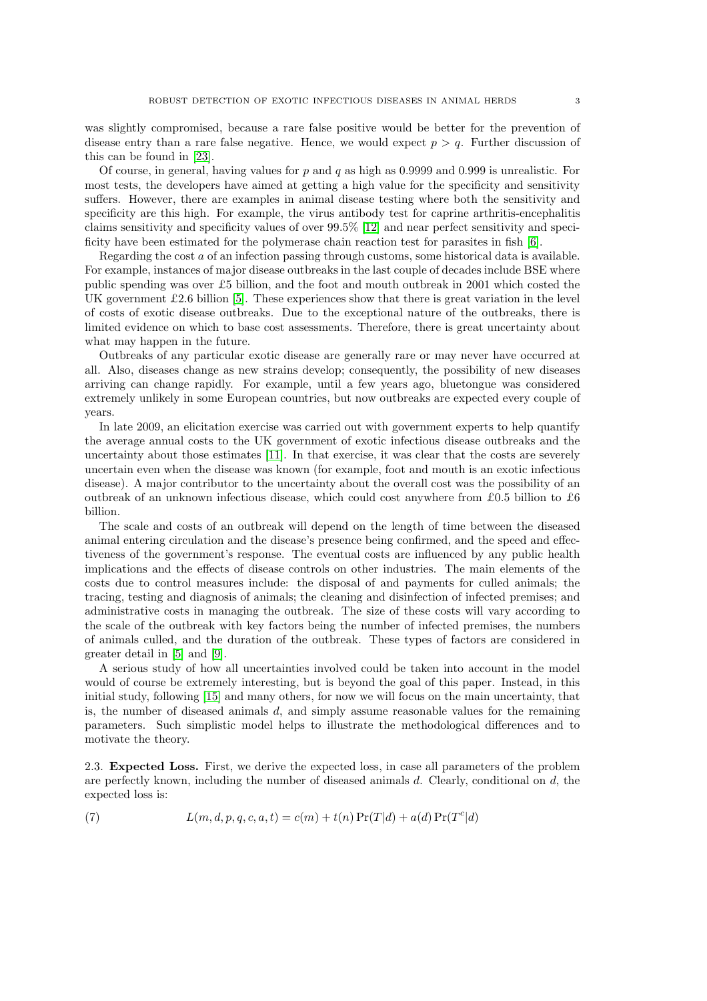was slightly compromised, because a rare false positive would be better for the prevention of disease entry than a rare false negative. Hence, we would expect  $p > q$ . Further discussion of this can be found in [\[23\]](#page-14-3).

Of course, in general, having values for  $p$  and  $q$  as high as 0.9999 and 0.999 is unrealistic. For most tests, the developers have aimed at getting a high value for the specificity and sensitivity suffers. However, there are examples in animal disease testing where both the sensitivity and specificity are this high. For example, the virus antibody test for caprine arthritis-encephalitis claims sensitivity and specificity values of over 99.5% [\[12\]](#page-13-4) and near perfect sensitivity and specificity have been estimated for the polymerase chain reaction test for parasites in fish [\[6\]](#page-13-5).

Regarding the cost a of an infection passing through customs, some historical data is available. For example, instances of major disease outbreaks in the last couple of decades include BSE where public spending was over £5 billion, and the foot and mouth outbreak in 2001 which costed the UK government  $\pounds2.6$  billion [\[5\]](#page-13-6). These experiences show that there is great variation in the level of costs of exotic disease outbreaks. Due to the exceptional nature of the outbreaks, there is limited evidence on which to base cost assessments. Therefore, there is great uncertainty about what may happen in the future.

Outbreaks of any particular exotic disease are generally rare or may never have occurred at all. Also, diseases change as new strains develop; consequently, the possibility of new diseases arriving can change rapidly. For example, until a few years ago, bluetongue was considered extremely unlikely in some European countries, but now outbreaks are expected every couple of years.

In late 2009, an elicitation exercise was carried out with government experts to help quantify the average annual costs to the UK government of exotic infectious disease outbreaks and the uncertainty about those estimates [\[11\]](#page-13-7). In that exercise, it was clear that the costs are severely uncertain even when the disease was known (for example, foot and mouth is an exotic infectious disease). A major contributor to the uncertainty about the overall cost was the possibility of an outbreak of an unknown infectious disease, which could cost anywhere from £0.5 billion to £6 billion.

The scale and costs of an outbreak will depend on the length of time between the diseased animal entering circulation and the disease's presence being confirmed, and the speed and effectiveness of the government's response. The eventual costs are influenced by any public health implications and the effects of disease controls on other industries. The main elements of the costs due to control measures include: the disposal of and payments for culled animals; the tracing, testing and diagnosis of animals; the cleaning and disinfection of infected premises; and administrative costs in managing the outbreak. The size of these costs will vary according to the scale of the outbreak with key factors being the number of infected premises, the numbers of animals culled, and the duration of the outbreak. These types of factors are considered in greater detail in [\[5\]](#page-13-6) and [\[9\]](#page-13-8).

A serious study of how all uncertainties involved could be taken into account in the model would of course be extremely interesting, but is beyond the goal of this paper. Instead, in this initial study, following [\[15\]](#page-14-0) and many others, for now we will focus on the main uncertainty, that is, the number of diseased animals d, and simply assume reasonable values for the remaining parameters. Such simplistic model helps to illustrate the methodological differences and to motivate the theory.

2.3. Expected Loss. First, we derive the expected loss, in case all parameters of the problem are perfectly known, including the number of diseased animals  $d$ . Clearly, conditional on  $d$ , the expected loss is:

(7) 
$$
L(m, d, p, q, c, a, t) = c(m) + t(n) \Pr(T|d) + a(d) \Pr(T^{c}|d)
$$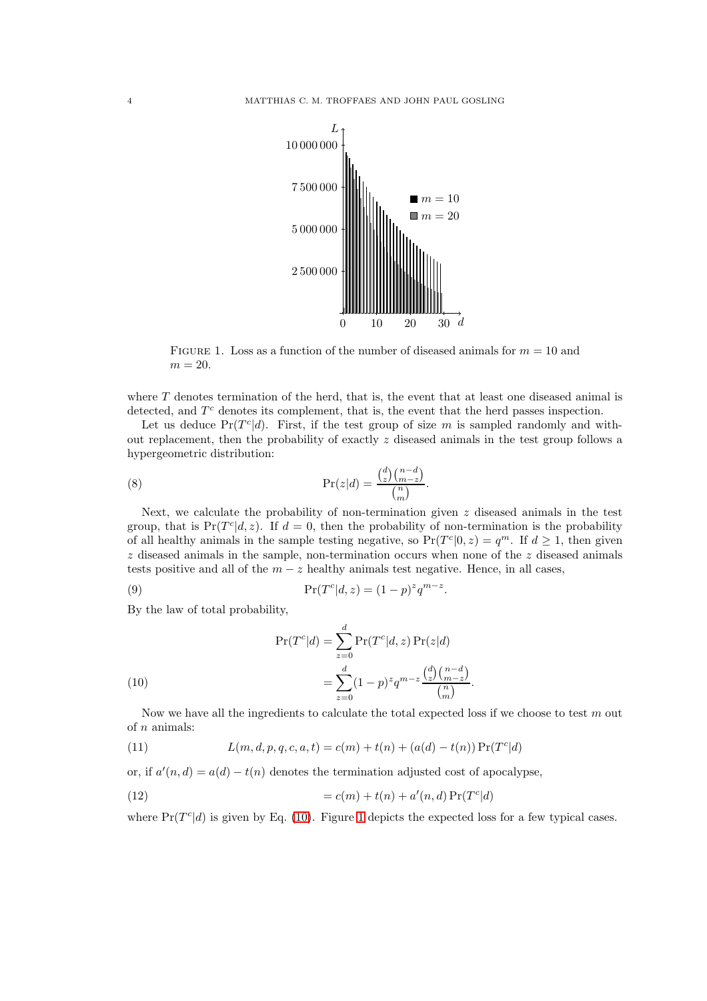

<span id="page-3-1"></span>FIGURE 1. Loss as a function of the number of diseased animals for  $m = 10$  and  $m = 20$ .

where  $T$  denotes termination of the herd, that is, the event that at least one diseased animal is detected, and  $T<sup>c</sup>$  denotes its complement, that is, the event that the herd passes inspection.

Let us deduce  $Pr(T^{c}|d)$ . First, if the test group of size m is sampled randomly and without replacement, then the probability of exactly z diseased animals in the test group follows a hypergeometric distribution:

(8) 
$$
\Pr(z|d) = \frac{\binom{d}{z}\binom{n-d}{m-z}}{\binom{n}{m}}.
$$

Next, we calculate the probability of non-termination given  $z$  diseased animals in the test group, that is  $Pr(T^{c}|d, z)$ . If  $d = 0$ , then the probability of non-termination is the probability of all healthy animals in the sample testing negative, so  $Pr(T^{c}|0, z) = q^{m}$ . If  $d \ge 1$ , then given  $z$  diseased animals in the sample, non-termination occurs when none of the  $z$  diseased animals tests positive and all of the  $m - z$  healthy animals test negative. Hence, in all cases,

(9) 
$$
\Pr(T^{c}|d, z) = (1-p)^{z}q^{m-z}.
$$

By the law of total probability,

(10)  
\n
$$
\Pr(T^{c}|d) = \sum_{z=0}^{d} \Pr(T^{c}|d, z) \Pr(z|d)
$$
\n
$$
= \sum_{z=0}^{d} (1-p)^{z} q^{m-z} \frac{\binom{d}{z} \binom{n-d}{m-z}}{\binom{n}{m}}.
$$

<span id="page-3-0"></span>Now we have all the ingredients to calculate the total expected loss if we choose to test  $m$  out of  $n$  animals:

(11) 
$$
L(m, d, p, q, c, a, t) = c(m) + t(n) + (a(d) - t(n)) \Pr(T^{c}|d)
$$

or, if  $a'(n, d) = a(d) - t(n)$  denotes the termination adjusted cost of apocalypse,

(12) 
$$
= c(m) + t(n) + a'(n, d) \Pr(T^{c}|d)
$$

where  $Pr(T^{c}|d)$  is given by Eq. [\(10\)](#page-3-0). Figure [1](#page-3-1) depicts the expected loss for a few typical cases.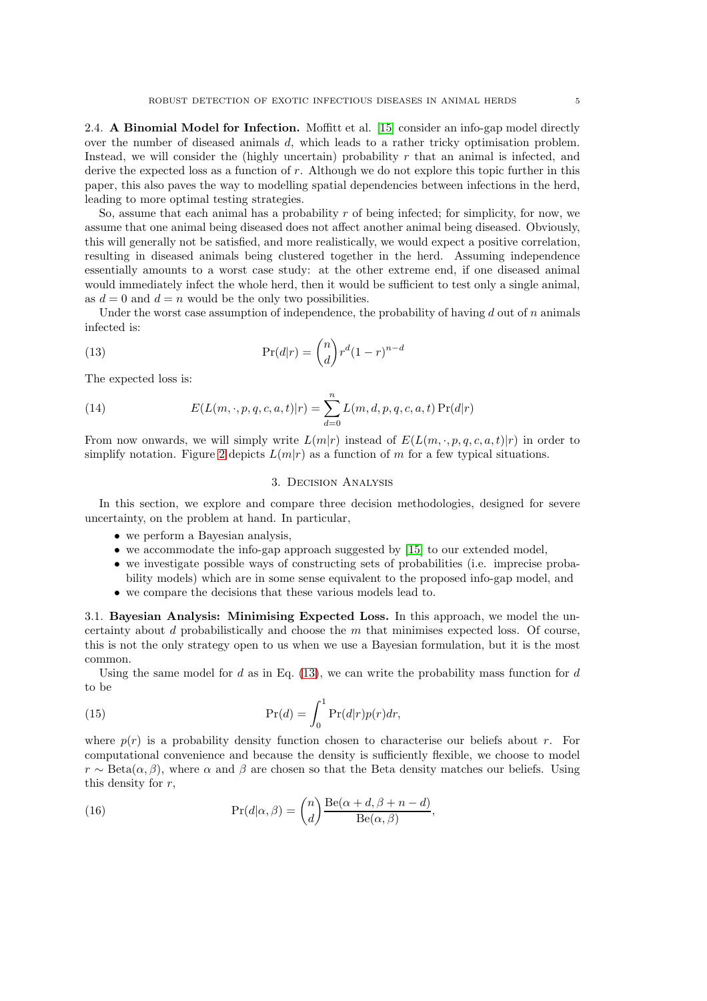2.4. A Binomial Model for Infection. Moffitt et al. [\[15\]](#page-14-0) consider an info-gap model directly over the number of diseased animals d, which leads to a rather tricky optimisation problem. Instead, we will consider the (highly uncertain) probability  $r$  that an animal is infected, and derive the expected loss as a function of  $r$ . Although we do not explore this topic further in this paper, this also paves the way to modelling spatial dependencies between infections in the herd, leading to more optimal testing strategies.

So, assume that each animal has a probability  $r$  of being infected; for simplicity, for now, we assume that one animal being diseased does not affect another animal being diseased. Obviously, this will generally not be satisfied, and more realistically, we would expect a positive correlation, resulting in diseased animals being clustered together in the herd. Assuming independence essentially amounts to a worst case study: at the other extreme end, if one diseased animal would immediately infect the whole herd, then it would be sufficient to test only a single animal, as  $d = 0$  and  $d = n$  would be the only two possibilities.

Under the worst case assumption of independence, the probability of having  $d$  out of  $n$  animals infected is:

(13) 
$$
\Pr(d|r) = \binom{n}{d} r^d (1-r)^{n-d}
$$

The expected loss is:

(14) 
$$
E(L(m,\cdot,p,q,c,a,t)|r) = \sum_{d=0}^{n} L(m,d,p,q,c,a,t) \Pr(d|r)
$$

<span id="page-4-0"></span>From now onwards, we will simply write  $L(m|r)$  instead of  $E(L(m, \cdot, p, q, c, a, t)|r)$  in order to simplify notation. Figure [2](#page-5-0) depicts  $L(m|r)$  as a function of m for a few typical situations.

#### <span id="page-4-1"></span>3. Decision Analysis

In this section, we explore and compare three decision methodologies, designed for severe uncertainty, on the problem at hand. In particular,

- we perform a Bayesian analysis,
- we accommodate the info-gap approach suggested by [\[15\]](#page-14-0) to our extended model,
- we investigate possible ways of constructing sets of probabilities (i.e. imprecise probability models) which are in some sense equivalent to the proposed info-gap model, and
- we compare the decisions that these various models lead to.

<span id="page-4-2"></span>3.1. Bayesian Analysis: Minimising Expected Loss. In this approach, we model the uncertainty about  $d$  probabilistically and choose the  $m$  that minimises expected loss. Of course, this is not the only strategy open to us when we use a Bayesian formulation, but it is the most common.

Using the same model for d as in Eq.  $(13)$ , we can write the probability mass function for d to be

(15) 
$$
\Pr(d) = \int_0^1 \Pr(d|r)p(r)dr,
$$

where  $p(r)$  is a probability density function chosen to characterise our beliefs about r. For computational convenience and because the density is sufficiently flexible, we choose to model  $r \sim \text{Beta}(\alpha, \beta)$ , where  $\alpha$  and  $\beta$  are chosen so that the Beta density matches our beliefs. Using this density for  $r$ ,

(16) 
$$
\Pr(d|\alpha, \beta) = {n \choose d} \frac{\text{Be}(\alpha + d, \beta + n - d)}{\text{Be}(\alpha, \beta)},
$$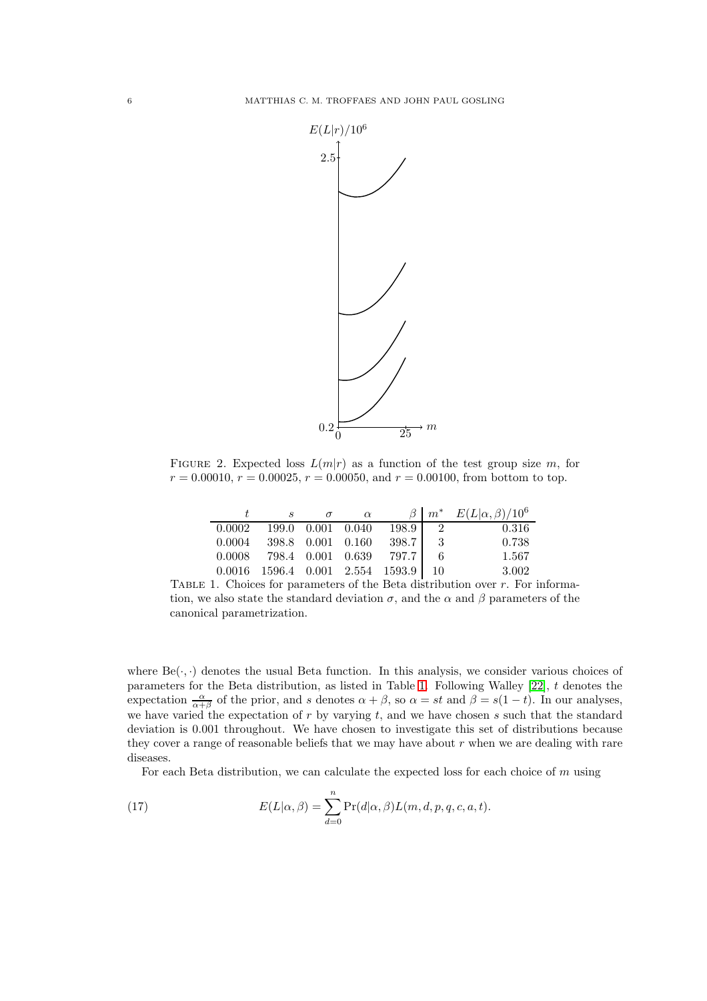

FIGURE 2. Expected loss  $L(m|r)$  as a function of the test group size m, for  $r = 0.00010$ ,  $r = 0.00025$ ,  $r = 0.00050$ , and  $r = 0.00100$ , from bottom to top.

<span id="page-5-0"></span>

|        | S |                     | $\alpha$ |                              |                | $\beta \mid m^*$ $E(L \alpha, \beta)/10^6$ |
|--------|---|---------------------|----------|------------------------------|----------------|--------------------------------------------|
| 0.0002 |   | 199.0 0.001 0.040   |          | 198.9                        | $\overline{2}$ | 0.316                                      |
| 0.0004 |   | 398.8  0.001  0.160 |          | 398.7                        | - 3            | 0.738                                      |
| 0.0008 |   | 798.4  0.001  0.639 |          | 797.7 L                      |                | 1.567                                      |
| 0.0016 |   |                     |          | 1596.4 0.001 2.554 1593.9 10 |                | 3.002                                      |

<span id="page-5-1"></span>TABLE 1. Choices for parameters of the Beta distribution over  $r$ . For information, we also state the standard deviation  $\sigma$ , and the  $\alpha$  and  $\beta$  parameters of the canonical parametrization.

where  $Be(\cdot, \cdot)$  denotes the usual Beta function. In this analysis, we consider various choices of parameters for the Beta distribution, as listed in Table [1.](#page-5-1) Following Walley [\[22\]](#page-14-4), t denotes the expectation  $\frac{\alpha}{\alpha+\beta}$  of the prior, and s denotes  $\alpha+\beta$ , so  $\alpha = st$  and  $\beta = s(1-t)$ . In our analyses, we have varied the expectation of  $r$  by varying  $t$ , and we have chosen  $s$  such that the standard deviation is 0.001 throughout. We have chosen to investigate this set of distributions because they cover a range of reasonable beliefs that we may have about  $r$  when we are dealing with rare diseases.

For each Beta distribution, we can calculate the expected loss for each choice of m using

(17) 
$$
E(L|\alpha, \beta) = \sum_{d=0}^{n} \Pr(d|\alpha, \beta) L(m, d, p, q, c, a, t).
$$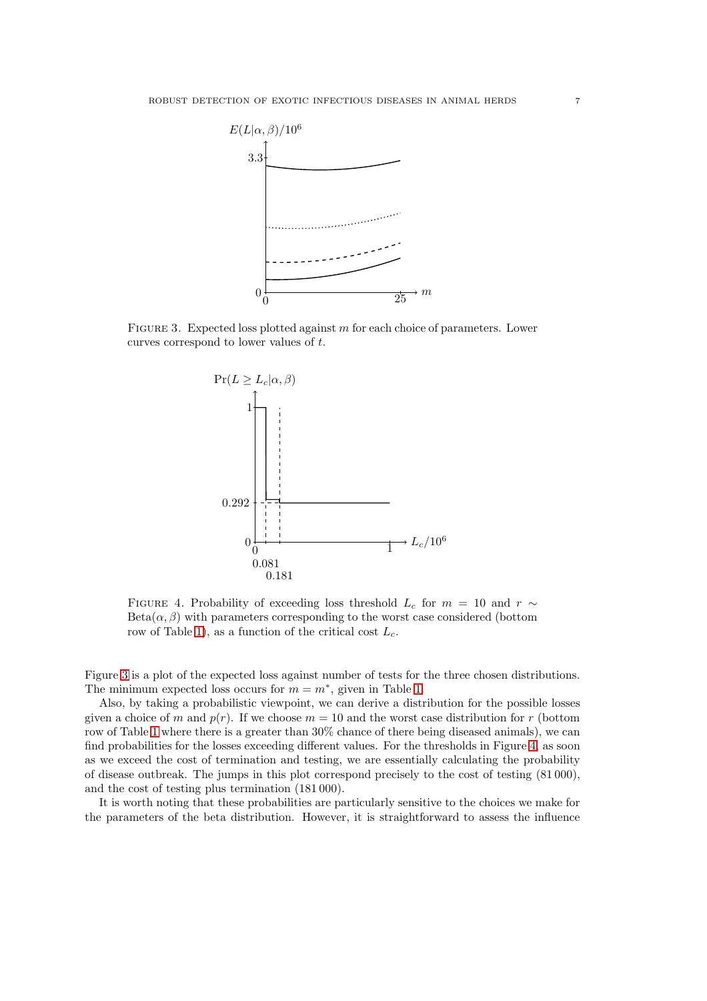

FIGURE 3. Expected loss plotted against  $m$  for each choice of parameters. Lower curves correspond to lower values of t.

<span id="page-6-0"></span>

<span id="page-6-1"></span>FIGURE 4. Probability of exceeding loss threshold  $L_c$  for  $m = 10$  and  $r \sim$  $Beta(\alpha, \beta)$  with parameters corresponding to the worst case considered (bottom row of Table [1\)](#page-5-1), as a function of the critical cost  $L_c$ .

Figure [3](#page-6-0) is a plot of the expected loss against number of tests for the three chosen distributions. The minimum expected loss occurs for  $m = m^*$ , given in Table [1.](#page-5-1)

Also, by taking a probabilistic viewpoint, we can derive a distribution for the possible losses given a choice of m and  $p(r)$ . If we choose  $m = 10$  and the worst case distribution for r (bottom row of Table [1](#page-5-1) where there is a greater than 30% chance of there being diseased animals), we can find probabilities for the losses exceeding different values. For the thresholds in Figure [4,](#page-6-1) as soon as we exceed the cost of termination and testing, we are essentially calculating the probability of disease outbreak. The jumps in this plot correspond precisely to the cost of testing (81 000), and the cost of testing plus termination (181 000).

It is worth noting that these probabilities are particularly sensitive to the choices we make for the parameters of the beta distribution. However, it is straightforward to assess the influence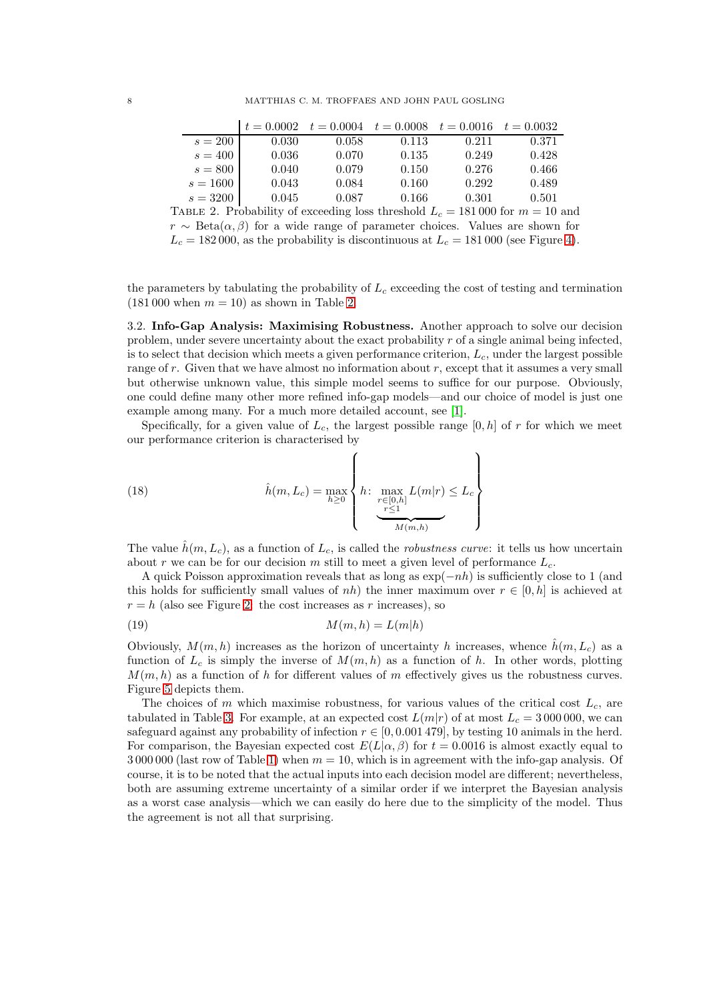|            |       |       |       | $t = 0.0002$ $t = 0.0004$ $t = 0.0008$ $t = 0.0016$ $t = 0.0032$ |       |
|------------|-------|-------|-------|------------------------------------------------------------------|-------|
| $s=200$    | 0.030 | 0.058 | 0.113 | 0.211                                                            | 0.371 |
| $s = 400$  | 0.036 | 0.070 | 0.135 | 0.249                                                            | 0.428 |
| $s = 800$  | 0.040 | 0.079 | 0.150 | 0.276                                                            | 0.466 |
| $s = 1600$ | 0.043 | 0.084 | 0.160 | 0.292                                                            | 0.489 |
| $s = 3200$ | 0.045 | 0.087 | 0.166 | 0.301                                                            | 0.501 |

<span id="page-7-0"></span>TABLE 2. Probability of exceeding loss threshold  $L_c = 181,000$  for  $m = 10$  and  $r \sim \text{Beta}(\alpha, \beta)$  for a wide range of parameter choices. Values are shown for  $L_c = 182000$ , as the probability is discontinuous at  $L_c = 181000$  (see Figure [4\)](#page-6-1).

the parameters by tabulating the probability of  $L_c$  exceeding the cost of testing and termination  $(181 000 \text{ when } m = 10)$  as shown in Table [2.](#page-7-0)

3.2. Info-Gap Analysis: Maximising Robustness. Another approach to solve our decision problem, under severe uncertainty about the exact probability  $r$  of a single animal being infected, is to select that decision which meets a given performance criterion,  $L_c$ , under the largest possible range of  $r$ . Given that we have almost no information about  $r$ , except that it assumes a very small but otherwise unknown value, this simple model seems to suffice for our purpose. Obviously, one could define many other more refined info-gap models—and our choice of model is just one example among many. For a much more detailed account, see [\[1\]](#page-13-1).

Specifically, for a given value of  $L_c$ , the largest possible range  $[0, h]$  of r for which we meet our performance criterion is characterised by

(18) 
$$
\hat{h}(m, L_c) = \max_{h \ge 0} \left\{ h \colon \max_{\substack{r \in [0, h] \\ \text{max} \\ \text{max} \\ M(m, h)}} L(m|r) \le L_c \right\}
$$

The value  $\hat{h}(m, L_c)$ , as a function of  $L_c$ , is called the *robustness curve*: it tells us how uncertain about r we can be for our decision m still to meet a given level of performance  $L_c$ .

A quick Poisson approximation reveals that as long as  $\exp(-nh)$  is sufficiently close to 1 (and this holds for sufficiently small values of nh) the inner maximum over  $r \in [0, h]$  is achieved at  $r = h$  (also see Figure [2:](#page-5-0) the cost increases as r increases), so

$$
(19) \t\t\t M(m,h) = L(m|h)
$$

Obviously,  $M(m, h)$  increases as the horizon of uncertainty h increases, whence  $\hat{h}(m, L_c)$  as a function of  $L_c$  is simply the inverse of  $M(m, h)$  as a function of h. In other words, plotting  $M(m, h)$  as a function of h for different values of m effectively gives us the robustness curves. Figure [5](#page-8-0) depicts them.

The choices of m which maximise robustness, for various values of the critical cost  $L_c$ , are tabulated in Table [3.](#page-8-1) For example, at an expected cost  $L(m|r)$  of at most  $L_c = 3000000$ , we can safeguard against any probability of infection  $r \in [0, 0.001 479]$ , by testing 10 animals in the herd. For comparison, the Bayesian expected cost  $E(L|\alpha, \beta)$  for  $t = 0.0016$  is almost exactly equal to 3 000 000 (last row of Table [1\)](#page-5-1) when  $m = 10$ , which is in agreement with the info-gap analysis. Of course, it is to be noted that the actual inputs into each decision model are different; nevertheless, both are assuming extreme uncertainty of a similar order if we interpret the Bayesian analysis as a worst case analysis—which we can easily do here due to the simplicity of the model. Thus the agreement is not all that surprising.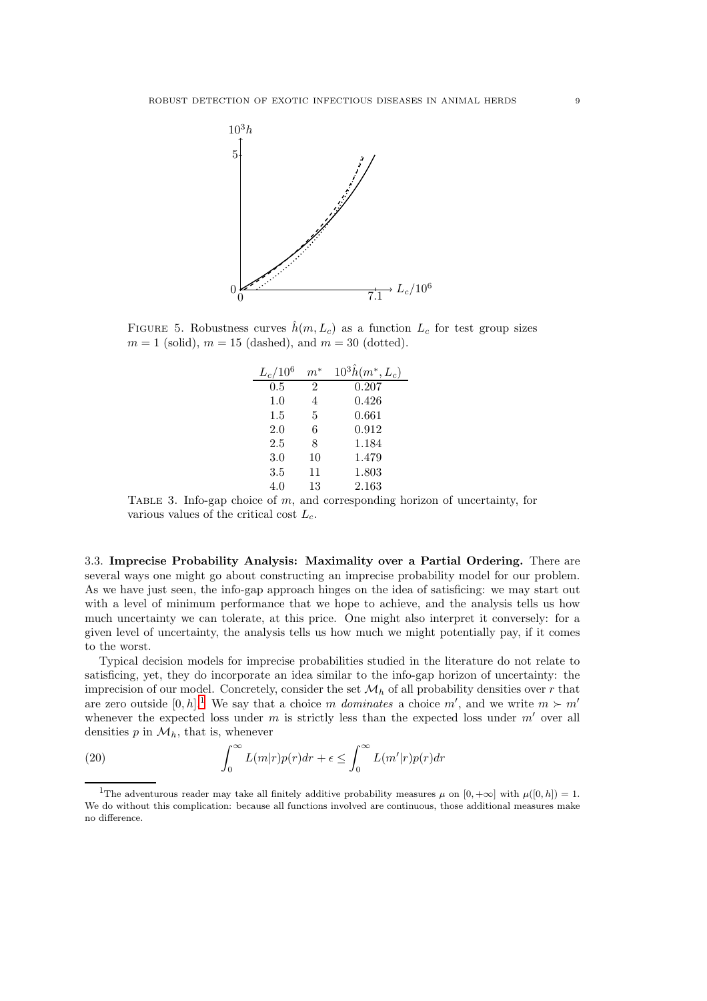

<span id="page-8-0"></span>FIGURE 5. Robustness curves  $\hat{h}(m, L_c)$  as a function  $L_c$  for test group sizes  $m = 1$  (solid),  $m = 15$  (dashed), and  $m = 30$  (dotted).

| $L_c/10^6$ | $m^*$ | $10^3 \hat{h}(m^*, L_c)$ |
|------------|-------|--------------------------|
| 0.5        | 2     | 0.207                    |
| 1.0        | 4     | 0.426                    |
| $1.5\,$    | 5     | 0.661                    |
| 2.0        | 6     | 0.912                    |
| 2.5        | 8     | 1.184                    |
| 3.0        | 10    | 1.479                    |
| 3.5        | 11    | 1.803                    |
| 4.0        | 13    | 2.163                    |

<span id="page-8-1"></span>TABLE 3. Info-gap choice of  $m$ , and corresponding horizon of uncertainty, for various values of the critical cost  $L_c$ .

3.3. Imprecise Probability Analysis: Maximality over a Partial Ordering. There are several ways one might go about constructing an imprecise probability model for our problem. As we have just seen, the info-gap approach hinges on the idea of satisficing: we may start out with a level of minimum performance that we hope to achieve, and the analysis tells us how much uncertainty we can tolerate, at this price. One might also interpret it conversely: for a given level of uncertainty, the analysis tells us how much we might potentially pay, if it comes to the worst.

Typical decision models for imprecise probabilities studied in the literature do not relate to satisficing, yet, they do incorporate an idea similar to the info-gap horizon of uncertainty: the imprecision of our model. Concretely, consider the set  $\mathcal{M}_h$  of all probability densities over r that are zero outside  $[0, h]$ <sup>[1](#page-8-2)</sup>. We say that a choice m dominates a choice m', and we write  $m \succ m'$ whenever the expected loss under  $m$  is strictly less than the expected loss under  $m'$  over all densities  $p$  in  $\mathcal{M}_h$ , that is, whenever

(20) 
$$
\int_0^\infty L(m|r)p(r)dr + \epsilon \leq \int_0^\infty L(m'|r)p(r)dr
$$

<span id="page-8-2"></span><sup>&</sup>lt;sup>1</sup>The adventurous reader may take all finitely additive probability measures  $\mu$  on  $[0, +\infty]$  with  $\mu([0, h]) = 1$ . We do without this complication: because all functions involved are continuous, those additional measures make no difference.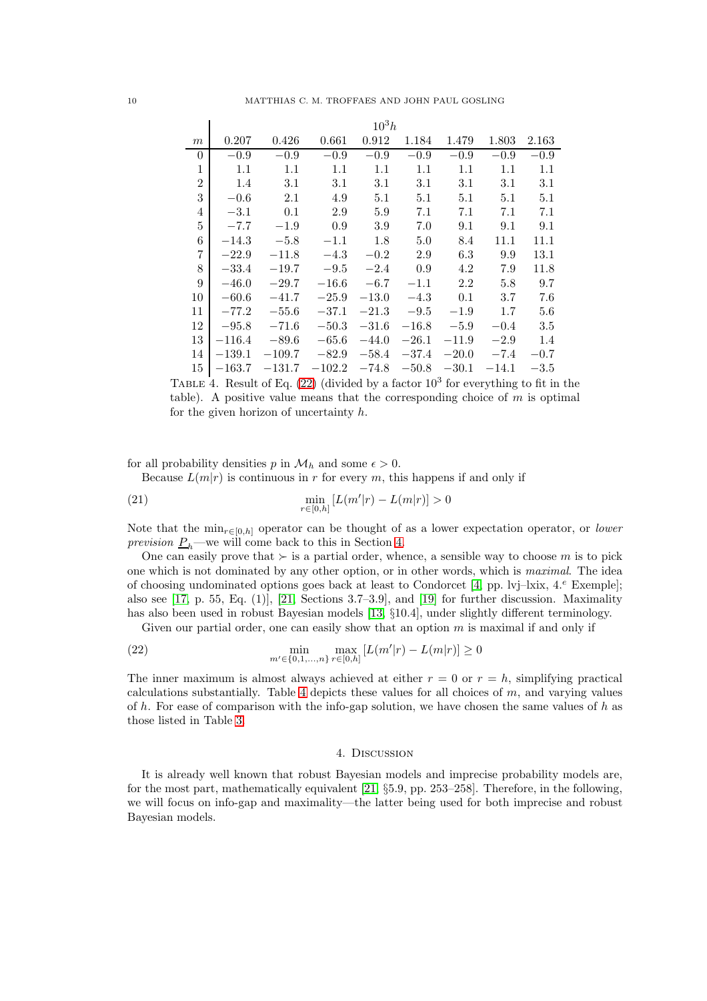|                | $10^3h$  |          |          |         |         |         |           |         |  |
|----------------|----------|----------|----------|---------|---------|---------|-----------|---------|--|
| m              | 0.207    | 0.426    | 0.661    | 0.912   | 1.184   | 1.479   | 1.803     | 2.163   |  |
| $\theta$       | $-0.9$   | $-0.9$   | $-0.9$   | $-0.9$  | $-0.9$  | $-0.9$  | $-0.9$    | $-0.9$  |  |
| $\mathbf{1}$   | 1.1      | 1.1      | 1.1      | 1.1     | 1.1     | $1.1\,$ | 1.1       | 1.1     |  |
| $\overline{2}$ | 1.4      | 3.1      | 3.1      | 3.1     | 3.1     | 3.1     | 3.1       | 3.1     |  |
| 3              | $-0.6$   | 2.1      | 4.9      | 5.1     | 5.1     | 5.1     | 5.1       | 5.1     |  |
| $\overline{4}$ | $-3.1$   | 0.1      | 2.9      | 5.9     | 7.1     | 7.1     | 7.1       | 7.1     |  |
| 5              | $-7.7$   | $-1.9$   | 0.9      | 3.9     | 7.0     | 9.1     | 9.1       | 9.1     |  |
| 6              | $-14.3$  | $-5.8$   | $-1.1$   | 1.8     | 5.0     | 8.4     | 11.1      | 11.1    |  |
| $\overline{7}$ | $-22.9$  | $-11.8$  | $-4.3$   | $-0.2$  | 2.9     | 6.3     | 9.9       | 13.1    |  |
| 8              | $-33.4$  | $-19.7$  | $-9.5$   | $-2.4$  | 0.9     | 4.2     | 7.9       | 11.8    |  |
| 9              | $-46.0$  | $-29.7$  | $-16.6$  | $-6.7$  | $-1.1$  | 2.2     | 5.8       | 9.7     |  |
| 10             | $-60.6$  | $-41.7$  | $-25.9$  | $-13.0$ | $-4.3$  | 0.1     | 3.7       | 7.6     |  |
| 11             | $-77.2$  | $-55.6$  | $-37.1$  | $-21.3$ | $-9.5$  | $-1.9$  | 1.7       | $5.6\,$ |  |
| 12             | $-95.8$  | $-71.6$  | $-50.3$  | $-31.6$ | $-16.8$ | $-5.9$  | $-0.4$    | 3.5     |  |
| 13             | $-116.4$ | $-89.6$  | $-65.6$  | $-44.0$ | $-26.1$ | $-11.9$ | $-2.9$    | 1.4     |  |
| 14             | $-139.1$ | $-109.7$ | $-82.9$  | $-58.4$ | $-37.4$ | $-20.0$ | $-7.4$    | $-0.7$  |  |
| 15             | $-163.7$ | $-131.7$ | $-102.2$ | $-74.8$ | $-50.8$ | $-30.1$ | $-14.1\,$ | $-3.5$  |  |

<span id="page-9-2"></span>TABLE 4. Result of Eq.  $(22)$  (divided by a factor  $10<sup>3</sup>$  for everything to fit in the table). A positive value means that the corresponding choice of  $m$  is optimal for the given horizon of uncertainty h.

for all probability densities p in  $\mathcal{M}_h$  and some  $\epsilon > 0$ .

Because  $L(m|r)$  is continuous in r for every m, this happens if and only if

(21) 
$$
\min_{r \in [0,h]} [L(m'|r) - L(m|r)] > 0
$$

Note that the  $\min_{r \in [0,h]}$  operator can be thought of as a lower expectation operator, or lower prevision  $P_h$ —we will come back to this in Section [4.](#page-9-0)

One can easily prove that  $\succ$  is a partial order, whence, a sensible way to choose m is to pick one which is not dominated by any other option, or in other words, which is maximal. The idea of choosing undominated options goes back at least to Condorcet [\[4,](#page-13-9) pp. lvj–lxix,  $4.^e$  Exemple]; also see [\[17,](#page-14-5) p. 55, Eq. (1)], [\[21,](#page-14-6) Sections 3.7–3.9], and [\[19\]](#page-14-2) for further discussion. Maximality has also been used in robust Bayesian models [\[13,](#page-14-7) §10.4], under slightly different terminology.

Given our partial order, one can easily show that an option  $m$  is maximal if and only if

(22) 
$$
\min_{m' \in \{0, 1, ..., n\}} \max_{r \in [0, h]} [L(m'|r) - L(m|r)] \ge 0
$$

The inner maximum is almost always achieved at either  $r = 0$  or  $r = h$ , simplifying practical calculations substantially. Table [4](#page-9-2) depicts these values for all choices of  $m$ , and varying values of h. For ease of comparison with the info-gap solution, we have chosen the same values of h as those listed in Table [3.](#page-8-1)

### <span id="page-9-1"></span>4. Discussion

<span id="page-9-0"></span>It is already well known that robust Bayesian models and imprecise probability models are, for the most part, mathematically equivalent [\[21,](#page-14-6) §5.9, pp. 253–258]. Therefore, in the following, we will focus on info-gap and maximality—the latter being used for both imprecise and robust Bayesian models.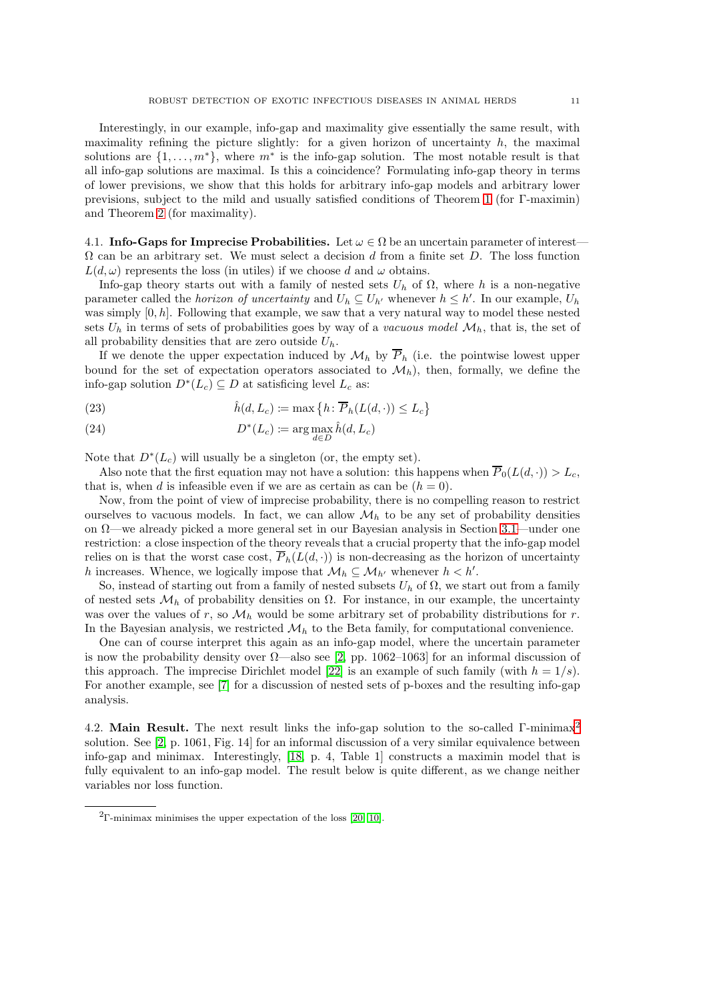Interestingly, in our example, info-gap and maximality give essentially the same result, with maximality refining the picture slightly: for a given horizon of uncertainty  $h$ , the maximal solutions are  $\{1, \ldots, m^*\}$ , where  $m^*$  is the info-gap solution. The most notable result is that all info-gap solutions are maximal. Is this a coincidence? Formulating info-gap theory in terms of lower previsions, we show that this holds for arbitrary info-gap models and arbitrary lower previsions, subject to the mild and usually satisfied conditions of Theorem [1](#page-11-0) (for Γ-maximin) and Theorem [2](#page-12-0) (for maximality).

4.1. Info-Gaps for Imprecise Probabilities. Let  $\omega \in \Omega$  be an uncertain parameter of interest- $\Omega$  can be an arbitrary set. We must select a decision d from a finite set D. The loss function  $L(d, \omega)$  represents the loss (in utiles) if we choose d and  $\omega$  obtains.

Info-gap theory starts out with a family of nested sets  $U_h$  of  $\Omega$ , where h is a non-negative parameter called the *horizon of uncertainty* and  $U_h \subseteq U_{h'}$  whenever  $h \leq h'$ . In our example,  $U_h$ was simply  $[0, h]$ . Following that example, we saw that a very natural way to model these nested sets  $U_h$  in terms of sets of probabilities goes by way of a vacuous model  $\mathcal{M}_h$ , that is, the set of all probability densities that are zero outside  $U_h$ .

If we denote the upper expectation induced by  $\mathcal{M}_h$  by  $\overline{P}_h$  (i.e. the pointwise lowest upper bound for the set of expectation operators associated to  $\mathcal{M}_h$ , then, formally, we define the info-gap solution  $D^*(L_c) \subseteq D$  at satisficing level  $L_c$  as:

(23) 
$$
\hat{h}(d, L_c) := \max\left\{h \colon \overline{P}_h(L(d, \cdot)) \le L_c\right\}
$$

(24) 
$$
D^*(L_c) := \arg \max_{d \in D} \hat{h}(d, L_c)
$$

Note that  $D^*(L_c)$  will usually be a singleton (or, the empty set).

Also note that the first equation may not have a solution: this happens when  $\overline{P}_0(L(d, \cdot)) > L_c$ , that is, when d is infeasible even if we are as certain as can be  $(h = 0)$ .

Now, from the point of view of imprecise probability, there is no compelling reason to restrict ourselves to vacuous models. In fact, we can allow  $\mathcal{M}_h$  to be any set of probability densities on Ω—we already picked a more general set in our Bayesian analysis in Section [3.1—](#page-4-2)under one restriction: a close inspection of the theory reveals that a crucial property that the info-gap model relies on is that the worst case cost,  $\overline{P}_h(L(d, \cdot))$  is non-decreasing as the horizon of uncertainty h increases. Whence, we logically impose that  $\mathcal{M}_h \subseteq \mathcal{M}_{h'}$  whenever  $h < h'$ .

So, instead of starting out from a family of nested subsets  $U_h$  of  $\Omega$ , we start out from a family of nested sets  $\mathcal{M}_h$  of probability densities on  $\Omega$ . For instance, in our example, the uncertainty was over the values of r, so  $\mathcal{M}_h$  would be some arbitrary set of probability distributions for r. In the Bayesian analysis, we restricted  $\mathcal{M}_h$  to the Beta family, for computational convenience.

One can of course interpret this again as an info-gap model, where the uncertain parameter is now the probability density over  $\Omega$ —also see [\[2,](#page-13-10) pp. 1062–1063] for an informal discussion of this approach. The imprecise Dirichlet model [\[22\]](#page-14-4) is an example of such family (with  $h = 1/s$ ). For another example, see [\[7\]](#page-13-11) for a discussion of nested sets of p-boxes and the resulting info-gap analysis.

4.[2](#page-10-0). Main Result. The next result links the info-gap solution to the so-called Γ-minimax<sup>2</sup> solution. See [\[2,](#page-13-10) p. 1061, Fig. 14] for an informal discussion of a very similar equivalence between info-gap and minimax. Interestingly, [\[18,](#page-14-8) p. 4, Table 1] constructs a maximin model that is fully equivalent to an info-gap model. The result below is quite different, as we change neither variables nor loss function.

<span id="page-10-0"></span><sup>&</sup>lt;sup>2</sup>Γ-minimax minimises the upper expectation of the loss [\[20,](#page-14-9) [10\]](#page-13-12).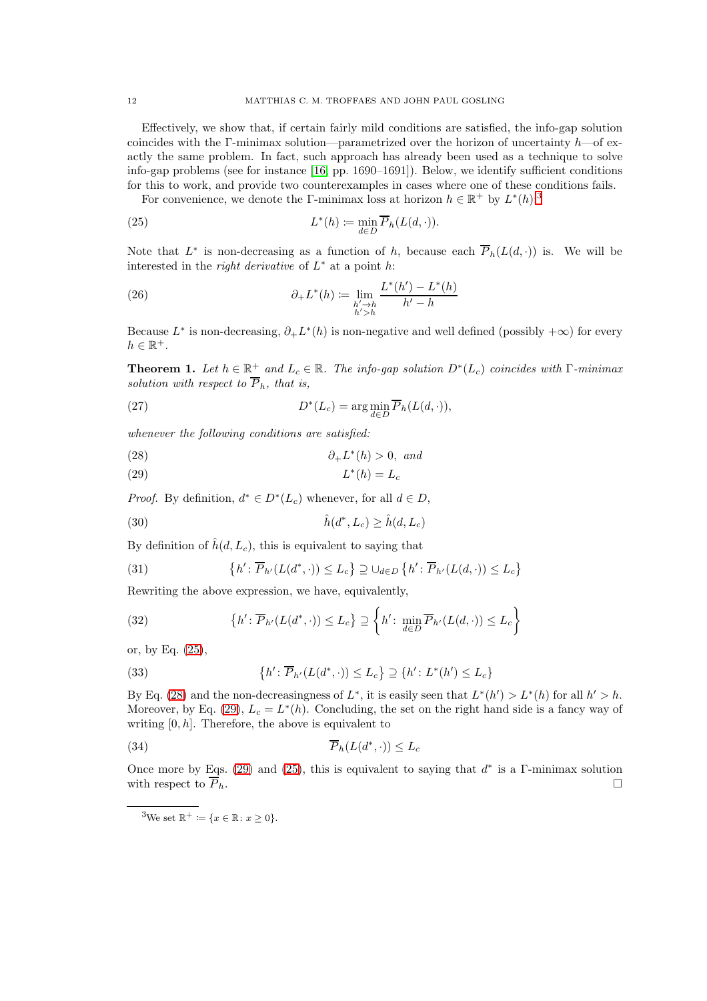Effectively, we show that, if certain fairly mild conditions are satisfied, the info-gap solution coincides with the Γ-minimax solution—parametrized over the horizon of uncertainty  $h$ —of exactly the same problem. In fact, such approach has already been used as a technique to solve info-gap problems (see for instance [\[16,](#page-14-10) pp. 1690–1691]). Below, we identify sufficient conditions for this to work, and provide two counterexamples in cases where one of these conditions fails.

<span id="page-11-2"></span>For convenience, we denote the Γ-minimax loss at horizon  $h \in \mathbb{R}^+$  by  $L^*(h)$ :<sup>[3](#page-11-1)</sup>

(25) 
$$
L^*(h) := \min_{d \in D} \overline{P}_h(L(d, \cdot)).
$$

Note that  $L^*$  is non-decreasing as a function of h, because each  $\overline{P}_h(L(d,\cdot))$  is. We will be interested in the *right derivative* of  $L^*$  at a point h:

(26) 
$$
\partial_{+}L^{*}(h) \coloneqq \lim_{\substack{h' \to h \\ h' > h}} \frac{L^{*}(h') - L^{*}(h)}{h' - h}
$$

Because  $L^*$  is non-decreasing,  $\partial_+ L^*(h)$  is non-negative and well defined (possibly  $+\infty$ ) for every  $h \in \mathbb{R}^+$ .

<span id="page-11-0"></span>**Theorem 1.** Let  $h \in \mathbb{R}^+$  and  $L_c \in \mathbb{R}$ . The info-gap solution  $D^*(L_c)$  coincides with  $\Gamma$ -minimax solution with respect to  $\overline{P}_h$ , that is,

(27) 
$$
D^*(L_c) = \arg\min_{d \in D} \overline{P}_h(L(d,\cdot)),
$$

whenever the following conditions are satisfied:

<span id="page-11-3"></span>
$$
(28) \t\t\t \partial_+ L^*(h) > 0, \text{ and}
$$

<span id="page-11-4"></span>
$$
(29) \t\t\t L^*(h) = L_c
$$

*Proof.* By definition,  $d^* \in D^*(L_c)$  whenever, for all  $d \in D$ ,

$$
(30) \qquad \qquad \hat{h}(d^*, L_c) \ge \hat{h}(d, L_c)
$$

By definition of  $\hat{h}(d, L_c)$ , this is equivalent to saying that

(31) 
$$
\{h' : \overline{P}_{h'}(L(d^*,\cdot)) \leq L_c\} \supseteq \bigcup_{d \in D} \{h' : \overline{P}_{h'}(L(d,\cdot)) \leq L_c\}
$$

Rewriting the above expression, we have, equivalently,

(32) 
$$
\{h' : \overline{P}_{h'}(L(d^*,\cdot)) \le L_c\} \supseteq \left\{h' : \min_{d \in D} \overline{P}_{h'}(L(d,\cdot)) \le L_c\right\}
$$

or, by Eq. [\(25\)](#page-11-2),

(33) 
$$
\{h' : \overline{P}_{h'}(L(d^*, \cdot)) \le L_c\} \supseteq \{h' : L^*(h') \le L_c\}
$$

By Eq. [\(28\)](#page-11-3) and the non-decreasingness of  $L^*$ , it is easily seen that  $L^*(h') > L^*(h)$  for all  $h' > h$ . Moreover, by Eq. [\(29\)](#page-11-4),  $L_c = L^*(h)$ . Concluding, the set on the right hand side is a fancy way of writing  $[0, h]$ . Therefore, the above is equivalent to

(34) 
$$
\overline{P}_h(L(d^*,\cdot)) \leq L_c
$$

Once more by Eqs. [\(29\)](#page-11-4) and [\(25\)](#page-11-2), this is equivalent to saying that  $d^*$  is a Γ-minimax solution with respect to  $\overline{P}_h$ .

<span id="page-11-1"></span><sup>&</sup>lt;sup>3</sup>We set  $\mathbb{R}^+ \coloneqq \{x \in \mathbb{R} : x \geq 0\}.$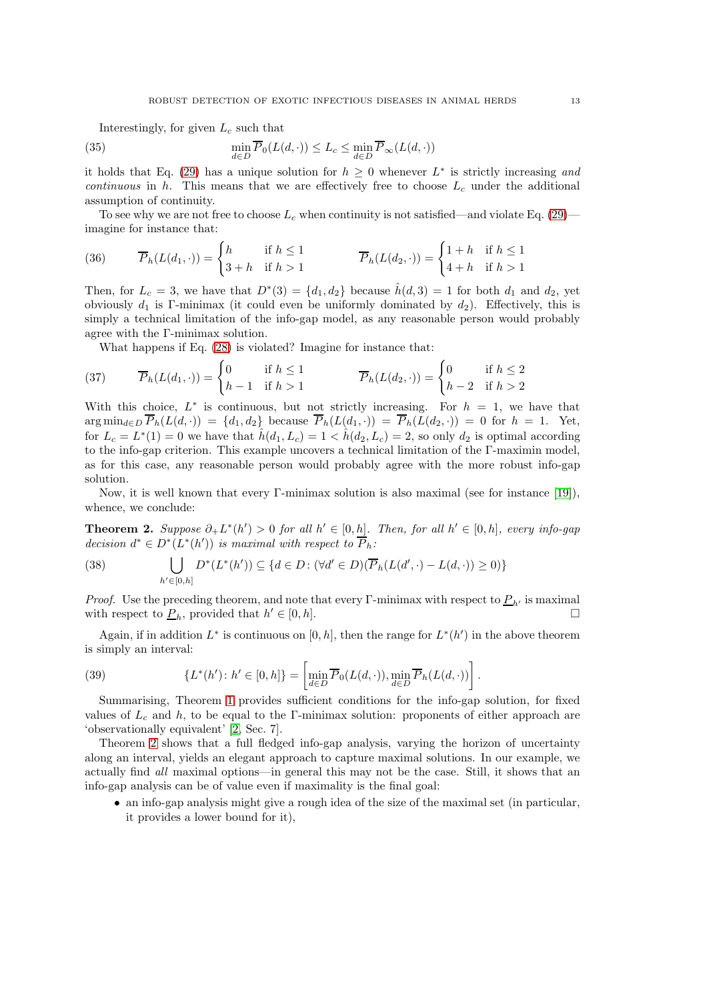Interestingly, for given  $L_c$  such that

(35) 
$$
\min_{d \in D} \overline{P}_0(L(d, \cdot)) \le L_c \le \min_{d \in D} \overline{P}_{\infty}(L(d, \cdot))
$$

it holds that Eq. [\(29\)](#page-11-4) has a unique solution for  $h \geq 0$  whenever  $L^*$  is strictly increasing and continuous in h. This means that we are effectively free to choose  $L_c$  under the additional assumption of continuity.

To see why we are not free to choose  $L_c$  when continuity is not satisfied—and violate Eq. [\(29\)](#page-11-4) imagine for instance that:

(36) 
$$
\overline{P}_h(L(d_1, \cdot)) = \begin{cases} h & \text{if } h \le 1 \\ 3 + h & \text{if } h > 1 \end{cases} \qquad \overline{P}_h(L(d_2, \cdot)) = \begin{cases} 1 + h & \text{if } h \le 1 \\ 4 + h & \text{if } h > 1 \end{cases}
$$

Then, for  $L_c = 3$ , we have that  $D^*(3) = \{d_1, d_2\}$  because  $\hat{h}(d, 3) = 1$  for both  $d_1$  and  $d_2$ , yet obviously  $d_1$  is Γ-minimax (it could even be uniformly dominated by  $d_2$ ). Effectively, this is simply a technical limitation of the info-gap model, as any reasonable person would probably agree with the Γ-minimax solution.

What happens if Eq. [\(28\)](#page-11-3) is violated? Imagine for instance that:

(37) 
$$
\overline{P}_h(L(d_1, \cdot)) = \begin{cases} 0 & \text{if } h \le 1 \\ h - 1 & \text{if } h > 1 \end{cases} \qquad \overline{P}_h(L(d_2, \cdot)) = \begin{cases} 0 & \text{if } h \le 2 \\ h - 2 & \text{if } h > 2 \end{cases}
$$

With this choice,  $L^*$  is continuous, but not strictly increasing. For  $h = 1$ , we have that  $\arg \min_{d \in D} \overline{P}_h(L(d, \cdot)) = \{d_1, d_2\}$  because  $\overline{P}_h(L(d_1, \cdot)) = \overline{P}_h(L(d_2, \cdot)) = 0$  for  $h = 1$ . Yet, for  $L_c = L^*(1) = 0$  we have that  $\hat{h}(d_1, L_c) = 1 < \hat{h}(d_2, L_c) = 2$ , so only  $d_2$  is optimal according to the info-gap criterion. This example uncovers a technical limitation of the Γ-maximin model, as for this case, any reasonable person would probably agree with the more robust info-gap solution.

Now, it is well known that every Γ-minimax solution is also maximal (see for instance [\[19\]](#page-14-2)), whence, we conclude:

<span id="page-12-0"></span>**Theorem 2.** Suppose  $\partial_+ L^*(h') > 0$  for all  $h' \in [0, h]$ . Then, for all  $h' \in [0, h]$ , every info-gap decision  $d^* \in D^*(L^*(h'))$  is maximal with respect to  $\overline{P}_h$ :

(38) 
$$
\bigcup_{h' \in [0,h]} D^*(L^*(h')) \subseteq \{d \in D : (\forall d' \in D)(\overline{P}_h(L(d',\cdot) - L(d,\cdot)) \ge 0)\}
$$

*Proof.* Use the preceding theorem, and note that every Γ-minimax with respect to  $P_{h'}$  is maximal with respect to  $\underline{P}_h$ , provided that  $h' \in [0, h]$ .

Again, if in addition  $L^*$  is continuous on [0, h], then the range for  $L^*(h')$  in the above theorem is simply an interval:

(39) 
$$
\{L^*(h')\colon h' \in [0,h]\} = \left[\min_{d \in D} \overline{P}_0(L(d,\cdot)), \min_{d \in D} \overline{P}_h(L(d,\cdot))\right].
$$

Summarising, Theorem [1](#page-11-0) provides sufficient conditions for the info-gap solution, for fixed values of  $L_c$  and h, to be equal to the Γ-minimax solution: proponents of either approach are 'observationally equivalent' [\[2,](#page-13-10) Sec. 7].

Theorem [2](#page-12-0) shows that a full fledged info-gap analysis, varying the horizon of uncertainty along an interval, yields an elegant approach to capture maximal solutions. In our example, we actually find all maximal options—in general this may not be the case. Still, it shows that an info-gap analysis can be of value even if maximality is the final goal:

• an info-gap analysis might give a rough idea of the size of the maximal set (in particular, it provides a lower bound for it),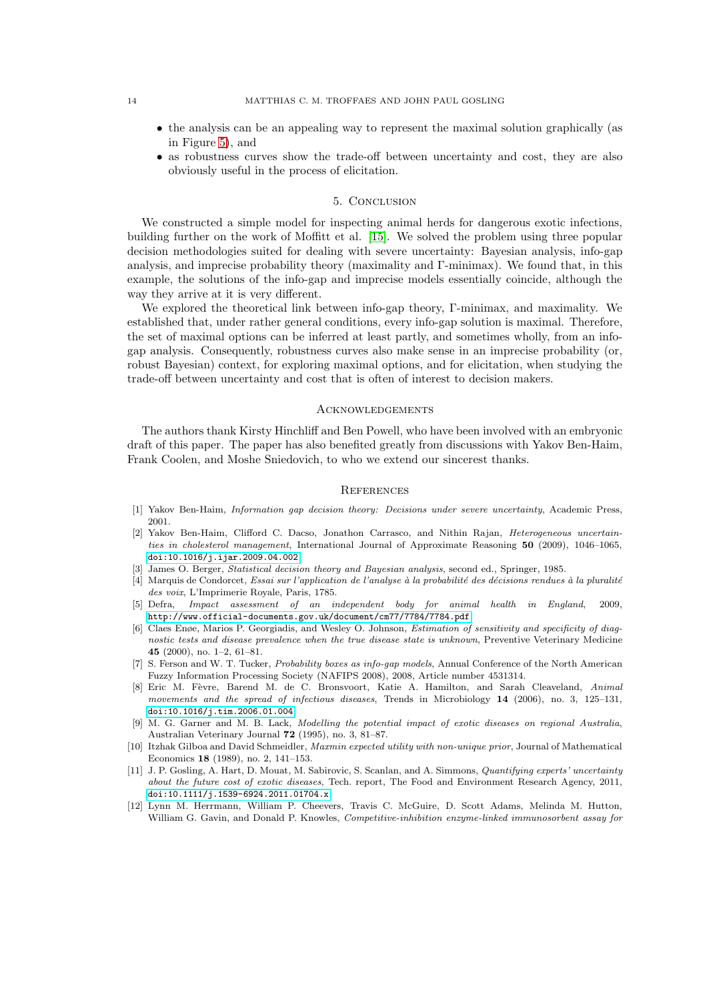- the analysis can be an appealing way to represent the maximal solution graphically (as in Figure [5\)](#page-8-0), and
- as robustness curves show the trade-off between uncertainty and cost, they are also obviously useful in the process of elicitation.

## 5. Conclusion

<span id="page-13-3"></span>We constructed a simple model for inspecting animal herds for dangerous exotic infections, building further on the work of Moffitt et al. [\[15\]](#page-14-0). We solved the problem using three popular decision methodologies suited for dealing with severe uncertainty: Bayesian analysis, info-gap analysis, and imprecise probability theory (maximality and Γ-minimax). We found that, in this example, the solutions of the info-gap and imprecise models essentially coincide, although the way they arrive at it is very different.

We explored the theoretical link between info-gap theory, Γ-minimax, and maximality. We established that, under rather general conditions, every info-gap solution is maximal. Therefore, the set of maximal options can be inferred at least partly, and sometimes wholly, from an infogap analysis. Consequently, robustness curves also make sense in an imprecise probability (or, robust Bayesian) context, for exploring maximal options, and for elicitation, when studying the trade-off between uncertainty and cost that is often of interest to decision makers.

#### **ACKNOWLEDGEMENTS**

The authors thank Kirsty Hinchliff and Ben Powell, who have been involved with an embryonic draft of this paper. The paper has also benefited greatly from discussions with Yakov Ben-Haim, Frank Coolen, and Moshe Sniedovich, to who we extend our sincerest thanks.

#### **REFERENCES**

- <span id="page-13-10"></span><span id="page-13-1"></span>[1] Yakov Ben-Haim, *Information gap decision theory: Decisions under severe uncertainty*, Academic Press, 2001.
- [2] Yakov Ben-Haim, Clifford C. Dacso, Jonathon Carrasco, and Nithin Rajan, *Heterogeneous uncertainties in cholesterol management*, International Journal of Approximate Reasoning 50 (2009), 1046–1065, [doi:10.1016/j.ijar.2009.04.002](http://dx.doi.org/10.1016/j.ijar.2009.04.002).
- <span id="page-13-9"></span><span id="page-13-2"></span>[3] James O. Berger, *Statistical decision theory and Bayesian analysis*, second ed., Springer, 1985.
- [4] Marquis de Condorcet, *Essai sur l'application de l'analyse `a la probabilit´e des d´ecisions rendues `a la pluralit´e des voix*, L'Imprimerie Royale, Paris, 1785.
- <span id="page-13-6"></span>[5] Defra, *Impact assessment of an independent body for animal health in England*, 2009, <http://www.official-documents.gov.uk/document/cm77/7784/7784.pdf>.
- <span id="page-13-5"></span>[6] Claes Enøe, Marios P. Georgiadis, and Wesley O. Johnson, *Estimation of sensitivity and specificity of diagnostic tests and disease prevalence when the true disease state is unknown*, Preventive Veterinary Medicine 45 (2000), no. 1–2, 61–81.
- <span id="page-13-11"></span>[7] S. Ferson and W. T. Tucker, *Probability boxes as info-gap models*, Annual Conference of the North American Fuzzy Information Processing Society (NAFIPS 2008), 2008, Article number 4531314.
- <span id="page-13-0"></span>[8] Eric M. F`evre, Barend M. de C. Bronsvoort, Katie A. Hamilton, and Sarah Cleaveland, *Animal movements and the spread of infectious diseases*, Trends in Microbiology 14 (2006), no. 3, 125–131, [doi:10.1016/j.tim.2006.01.004](http://dx.doi.org/10.1016/j.tim.2006.01.004).
- <span id="page-13-8"></span>[9] M. G. Garner and M. B. Lack, *Modelling the potential impact of exotic diseases on regional Australia*, Australian Veterinary Journal 72 (1995), no. 3, 81–87.
- <span id="page-13-12"></span>[10] Itzhak Gilboa and David Schmeidler, *Maxmin expected utility with non-unique prior*, Journal of Mathematical Economics 18 (1989), no. 2, 141–153.
- <span id="page-13-7"></span>[11] J. P. Gosling, A. Hart, D. Mouat, M. Sabirovic, S. Scanlan, and A. Simmons, *Quantifying experts' uncertainty about the future cost of exotic diseases*, Tech. report, The Food and Environment Research Agency, 2011, [doi:10.1111/j.1539-6924.2011.01704.x](http://dx.doi.org/10.1111/j.1539-6924.2011.01704.x).
- <span id="page-13-4"></span>[12] Lynn M. Herrmann, William P. Cheevers, Travis C. McGuire, D. Scott Adams, Melinda M. Hutton, William G. Gavin, and Donald P. Knowles, *Competitive-inhibition enzyme-linked immunosorbent assay for*